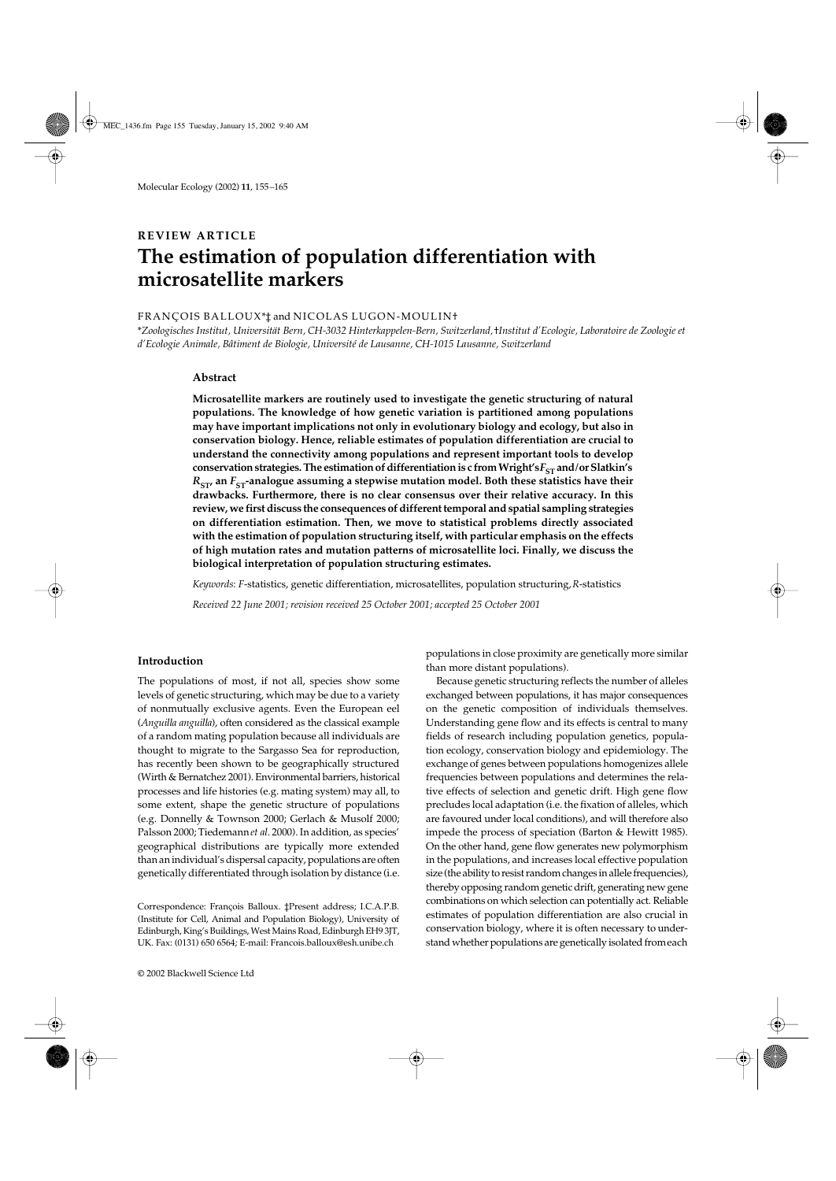# **REVIEW ARTICLE** The estimation of population differentiation with **microsatellite markers**

### FRANÇOIS BALLOUX\*‡ and NICOLAS LUGON-MOULIN†

\**Zoologisches Institut, Universität Bern, CH-3032 Hinterkappelen-Bern, Switzerland,* †*Institut d'Ecologie, Laboratoire de Zoologie et d'Ecologie Animale, Bâtiment de Biologie, Université de Lausanne, CH-1015 Lausanne, Switzerland*

### **Abstract**

**Microsatellite markers are routinely used to investigate the genetic structuring of natural populations. The knowledge of how genetic variation is partitioned among populations may have important implications not only in evolutionary biology and ecology, but also in conservation biology. Hence, reliable estimates of population differentiation are crucial to understand the connectivity among populations and represent important tools to develop** conservation strategies. The estimation of differentiation is c from Wright's $F_{ST}$  and/or Slatkin's  $R<sub>ST</sub>$  an  $F<sub>ST</sub>$ -analogue assuming a stepwise mutation model. Both these statistics have their **drawbacks. Furthermore, there is no clear consensus over their relative accuracy. In this review, we first discuss the consequences of different temporal and spatial sampling strategies on differentiation estimation. Then, we move to statistical problems directly associated with the estimation of population structuring itself, with particular emphasis on the effects of high mutation rates and mutation patterns of microsatellite loci. Finally, we discuss the biological interpretation of population structuring estimates.**

*Keywords*: *F*-statistics, genetic differentiation, microsatellites, population structuring, *R*-statistics

*Received 22 June 2001; revision received 25 October 2001; accepted 25 October 2001*

## **Introduction**

The populations of most, if not all, species show some levels of genetic structuring, which may be due to a variety of nonmutually exclusive agents. Even the European eel (*Anguilla anguilla*), often considered as the classical example of a random mating population because all individuals are thought to migrate to the Sargasso Sea for reproduction, has recently been shown to be geographically structured (Wirth & Bernatchez 2001). Environmental barriers, historical processes and life histories (e.g. mating system) may all, to some extent, shape the genetic structure of populations (e.g. Donnelly & Townson 2000; Gerlach & Musolf 2000; Palsson 2000; Tiedemann *et al*. 2000). In addition, as species' geographical distributions are typically more extended than an individual's dispersal capacity, populations are often genetically differentiated through isolation by distance (i.e.

populations in close proximity are genetically more similar than more distant populations).

Because genetic structuring reflects the number of alleles exchanged between populations, it has major consequences on the genetic composition of individuals themselves. Understanding gene flow and its effects is central to many fields of research including population genetics, population ecology, conservation biology and epidemiology. The exchange of genes between populations homogenizes allele frequencies between populations and determines the relative effects of selection and genetic drift. High gene flow precludes local adaptation (i.e. the fixation of alleles, which are favoured under local conditions), and will therefore also impede the process of speciation (Barton & Hewitt 1985). On the other hand, gene flow generates new polymorphism in the populations, and increases local effective population size (the ability to resist random changes in allele frequencies), thereby opposing random genetic drift, generating new gene combinations on which selection can potentially act. Reliable estimates of population differentiation are also crucial in conservation biology, where it is often necessary to understand whether populations are genetically isolated from each

Correspondence: François Balloux. ‡Present address; I.C.A.P.B. (Institute for Cell, Animal and Population Biology), University of Edinburgh, King's Buildings, West Mains Road, Edinburgh EH9 3JT, UK. Fax: (0131) 650 6564; E-mail: Francois.balloux@esh.unibe.ch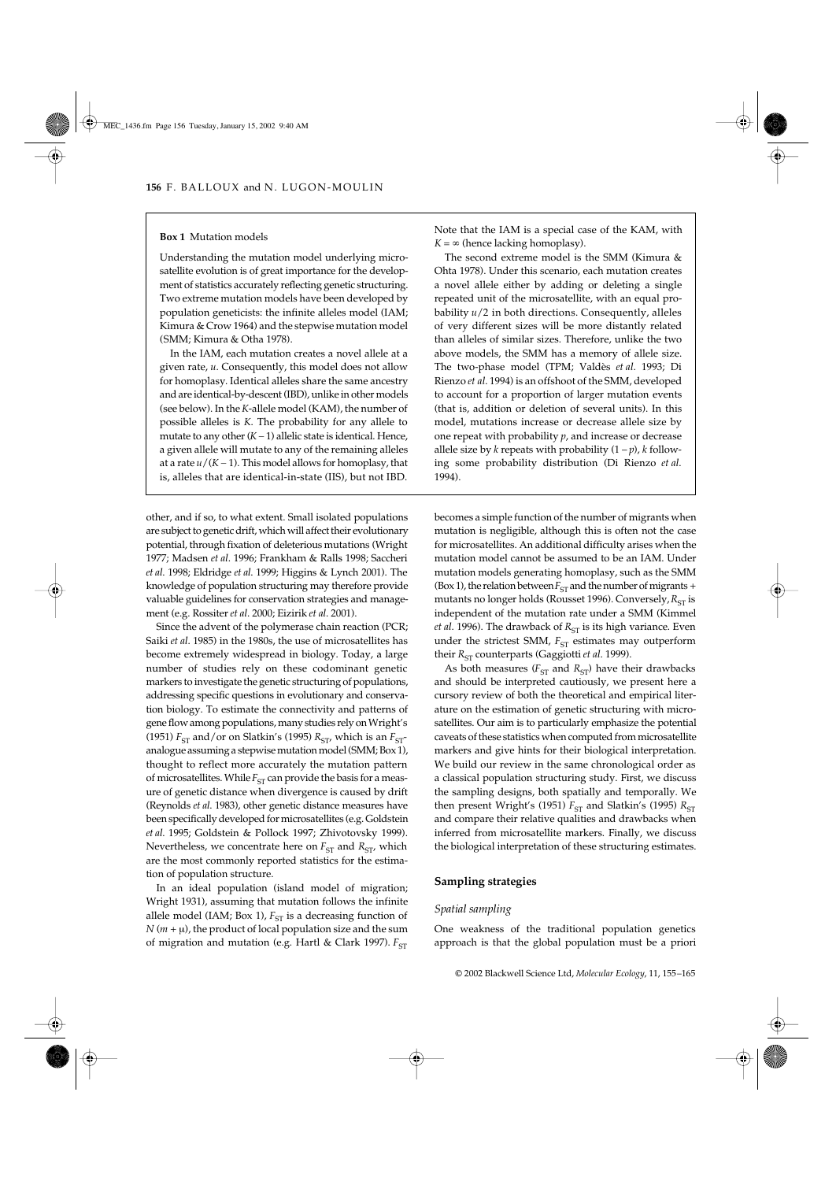#### **Box 1** Mutation models

Understanding the mutation model underlying microsatellite evolution is of great importance for the development of statistics accurately reflecting genetic structuring. Two extreme mutation models have been developed by population geneticists: the infinite alleles model (IAM; Kimura & Crow 1964) and the stepwise mutation model (SMM; Kimura & Otha 1978).

In the IAM, each mutation creates a novel allele at a given rate, *u*. Consequently, this model does not allow for homoplasy. Identical alleles share the same ancestry and are identical-by-descent (IBD), unlike in other models (see below). In the *K*-allele model (KAM), the number of possible alleles is *K*. The probability for any allele to mutate to any other  $(K - 1)$  allelic state is identical. Hence, a given allele will mutate to any of the remaining alleles at a rate  $u/(K-1)$ . This model allows for homoplasy, that is, alleles that are identical-in-state (IIS), but not IBD.

other, and if so, to what extent. Small isolated populations are subject to genetic drift, which will affect their evolutionary potential, through fixation of deleterious mutations (Wright 1977; Madsen *et al*. 1996; Frankham & Ralls 1998; Saccheri *et al*. 1998; Eldridge *et al*. 1999; Higgins & Lynch 2001). The knowledge of population structuring may therefore provide valuable guidelines for conservation strategies and management (e.g. Rossiter *et al*. 2000; Eizirik *et al*. 2001).

Since the advent of the polymerase chain reaction (PCR; Saiki *et al*. 1985) in the 1980s, the use of microsatellites has become extremely widespread in biology. Today, a large number of studies rely on these codominant genetic markers to investigate the genetic structuring of populations, addressing specific questions in evolutionary and conservation biology. To estimate the connectivity and patterns of gene flow among populations, many studies rely on Wright's (1951)  $F_{ST}$  and/or on Slatkin's (1995)  $R_{ST}$ , which is an  $F_{ST}$ analogue assuming a stepwise mutation model (SMM; Box 1), thought to reflect more accurately the mutation pattern of microsatellites. While  $F_{ST}$  can provide the basis for a measure of genetic distance when divergence is caused by drift (Reynolds *et al*. 1983), other genetic distance measures have been specifically developed for microsatellites (e.g. Goldstein *et al*. 1995; Goldstein & Pollock 1997; Zhivotovsky 1999). Nevertheless, we concentrate here on  $F_{ST}$  and  $R_{ST}$ , which are the most commonly reported statistics for the estimation of population structure.

In an ideal population (island model of migration; Wright 1931), assuming that mutation follows the infinite allele model (IAM; Box 1),  $F_{ST}$  is a decreasing function of  $N(m + \mu)$ , the product of local population size and the sum of migration and mutation (e.g. Hartl & Clark 1997).  $F_{ST}$ 

Note that the IAM is a special case of the KAM, with  $K = \infty$  (hence lacking homoplasy).

The second extreme model is the SMM (Kimura & Ohta 1978). Under this scenario, each mutation creates a novel allele either by adding or deleting a single repeated unit of the microsatellite, with an equal probability *u*/2 in both directions. Consequently, alleles of very different sizes will be more distantly related than alleles of similar sizes. Therefore, unlike the two above models, the SMM has a memory of allele size. The two-phase model (TPM; Valdès *et al*. 1993; Di Rienzo *et al*. 1994) is an offshoot of the SMM, developed to account for a proportion of larger mutation events (that is, addition or deletion of several units). In this model, mutations increase or decrease allele size by one repeat with probability *p*, and increase or decrease allele size by *k* repeats with probability  $(1 - p)$ , *k* following some probability distribution (Di Rienzo *et al*. 1994).

becomes a simple function of the number of migrants when mutation is negligible, although this is often not the case for microsatellites. An additional difficulty arises when the mutation model cannot be assumed to be an IAM. Under mutation models generating homoplasy, such as the SMM (Box 1), the relation between  $F_{ST}$  and the number of migrants + mutants no longer holds (Rousset 1996). Conversely, *R*<sub>ST</sub> is independent of the mutation rate under a SMM (Kimmel *et al.* 1996). The drawback of *R*<sub>ST</sub> is its high variance. Even under the strictest SMM,  $F_{ST}$  estimates may outperform their *R*<sub>ST</sub> counterparts (Gaggiotti *et al.* 1999).

As both measures ( $F_{ST}$  and  $R_{ST}$ ) have their drawbacks and should be interpreted cautiously, we present here a cursory review of both the theoretical and empirical literature on the estimation of genetic structuring with microsatellites. Our aim is to particularly emphasize the potential caveats of these statistics when computed from microsatellite markers and give hints for their biological interpretation. We build our review in the same chronological order as a classical population structuring study. First, we discuss the sampling designs, both spatially and temporally. We then present Wright's (1951)  $F_{ST}$  and Slatkin's (1995)  $R_{ST}$ and compare their relative qualities and drawbacks when inferred from microsatellite markers. Finally, we discuss the biological interpretation of these structuring estimates.

### **Sampling strategies**

#### *Spatial sampling*

One weakness of the traditional population genetics approach is that the global population must be a priori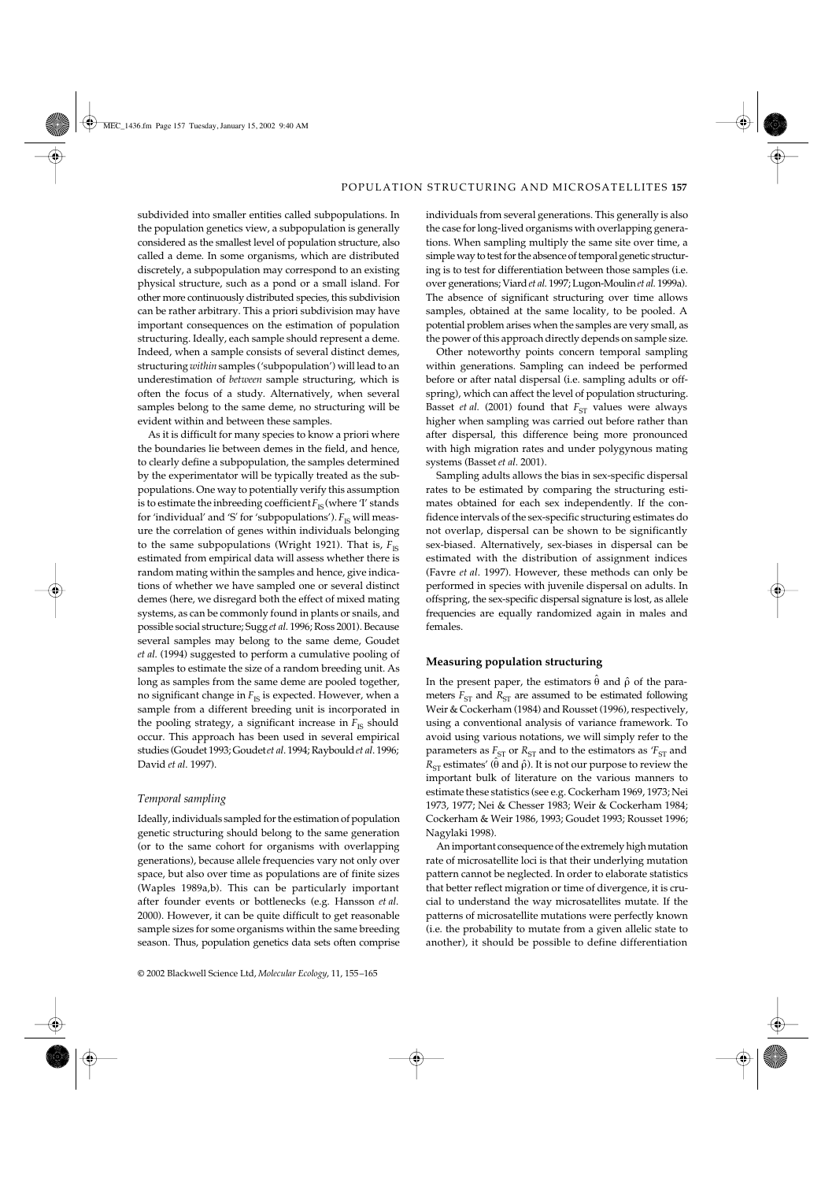subdivided into smaller entities called subpopulations. In the population genetics view, a subpopulation is generally considered as the smallest level of population structure, also called a deme. In some organisms, which are distributed discretely, a subpopulation may correspond to an existing physical structure, such as a pond or a small island. For other more continuously distributed species, this subdivision can be rather arbitrary. This a priori subdivision may have important consequences on the estimation of population structuring. Ideally, each sample should represent a deme. Indeed, when a sample consists of several distinct demes, structuring *within* samples ('subpopulation') will lead to an underestimation of *between* sample structuring, which is often the focus of a study. Alternatively, when several samples belong to the same deme, no structuring will be evident within and between these samples.

As it is difficult for many species to know a priori where the boundaries lie between demes in the field, and hence, to clearly define a subpopulation, the samples determined by the experimentator will be typically treated as the subpopulations. One way to potentially verify this assumption is to estimate the inbreeding coefficient  $F_{\text{IS}}$  (where 'I' stands for 'individual' and 'S' for 'subpopulations').  $F_{\text{IS}}$  will measure the correlation of genes within individuals belonging to the same subpopulations (Wright 1921). That is,  $F_{\text{IS}}$ estimated from empirical data will assess whether there is random mating within the samples and hence, give indications of whether we have sampled one or several distinct demes (here, we disregard both the effect of mixed mating systems, as can be commonly found in plants or snails, and possible social structure; Sugg *et al*. 1996; Ross 2001). Because several samples may belong to the same deme, Goudet *et al*. (1994) suggested to perform a cumulative pooling of samples to estimate the size of a random breeding unit. As long as samples from the same deme are pooled together, no significant change in  $F_{\text{IS}}$  is expected. However, when a sample from a different breeding unit is incorporated in the pooling strategy, a significant increase in  $F_{\text{IS}}$  should occur. This approach has been used in several empirical studies (Goudet 1993; Goudet *et al*. 1994; Raybould *et al*. 1996; David *et al*. 1997).

### *Temporal sampling*

Ideally, individuals sampled for the estimation of population genetic structuring should belong to the same generation (or to the same cohort for organisms with overlapping generations), because allele frequencies vary not only over space, but also over time as populations are of finite sizes (Waples 1989a,b). This can be particularly important after founder events or bottlenecks (e.g. Hansson *et al*. 2000). However, it can be quite difficult to get reasonable sample sizes for some organisms within the same breeding season. Thus, population genetics data sets often comprise individuals from several generations. This generally is also the case for long-lived organisms with overlapping generations. When sampling multiply the same site over time, a simple way to test for the absence of temporal genetic structuring is to test for differentiation between those samples (i.e. over generations; Viard *et al*. 1997; Lugon-Moulin *et al*. 1999a). The absence of significant structuring over time allows samples, obtained at the same locality, to be pooled. A potential problem arises when the samples are very small, as the power of this approach directly depends on sample size.

Other noteworthy points concern temporal sampling within generations. Sampling can indeed be performed before or after natal dispersal (i.e. sampling adults or offspring), which can affect the level of population structuring. Basset *et al.* (2001) found that  $F_{ST}$  values were always higher when sampling was carried out before rather than after dispersal, this difference being more pronounced with high migration rates and under polygynous mating systems (Basset *et al*. 2001).

Sampling adults allows the bias in sex-specific dispersal rates to be estimated by comparing the structuring estimates obtained for each sex independently. If the confidence intervals of the sex-specific structuring estimates do not overlap, dispersal can be shown to be significantly sex-biased. Alternatively, sex-biases in dispersal can be estimated with the distribution of assignment indices (Favre *et al*. 1997). However, these methods can only be performed in species with juvenile dispersal on adults. In offspring, the sex-specific dispersal signature is lost, as allele frequencies are equally randomized again in males and females.

### **Measuring population structuring**

In the present paper, the estimators  $\hat{\theta}$  and  $\hat{\rho}$  of the parameters  $F_{ST}$  and  $R_{ST}$  are assumed to be estimated following Weir & Cockerham (1984) and Rousset (1996), respectively, using a conventional analysis of variance framework. To avoid using various notations, we will simply refer to the parameters as  $F_{ST}$  or  $R_{ST}$  and to the estimators as  $F_{ST}$  and  $R_{ST}$  estimates' ( $\hat{\theta}$  and  $\hat{\rho}$ ). It is not our purpose to review the important bulk of literature on the various manners to estimate these statistics (see e.g. Cockerham 1969, 1973; Nei 1973, 1977; Nei & Chesser 1983; Weir & Cockerham 1984; Cockerham & Weir 1986, 1993; Goudet 1993; Rousset 1996; Nagylaki 1998).

An important consequence of the extremely high mutation rate of microsatellite loci is that their underlying mutation pattern cannot be neglected. In order to elaborate statistics that better reflect migration or time of divergence, it is crucial to understand the way microsatellites mutate. If the patterns of microsatellite mutations were perfectly known (i.e. the probability to mutate from a given allelic state to another), it should be possible to define differentiation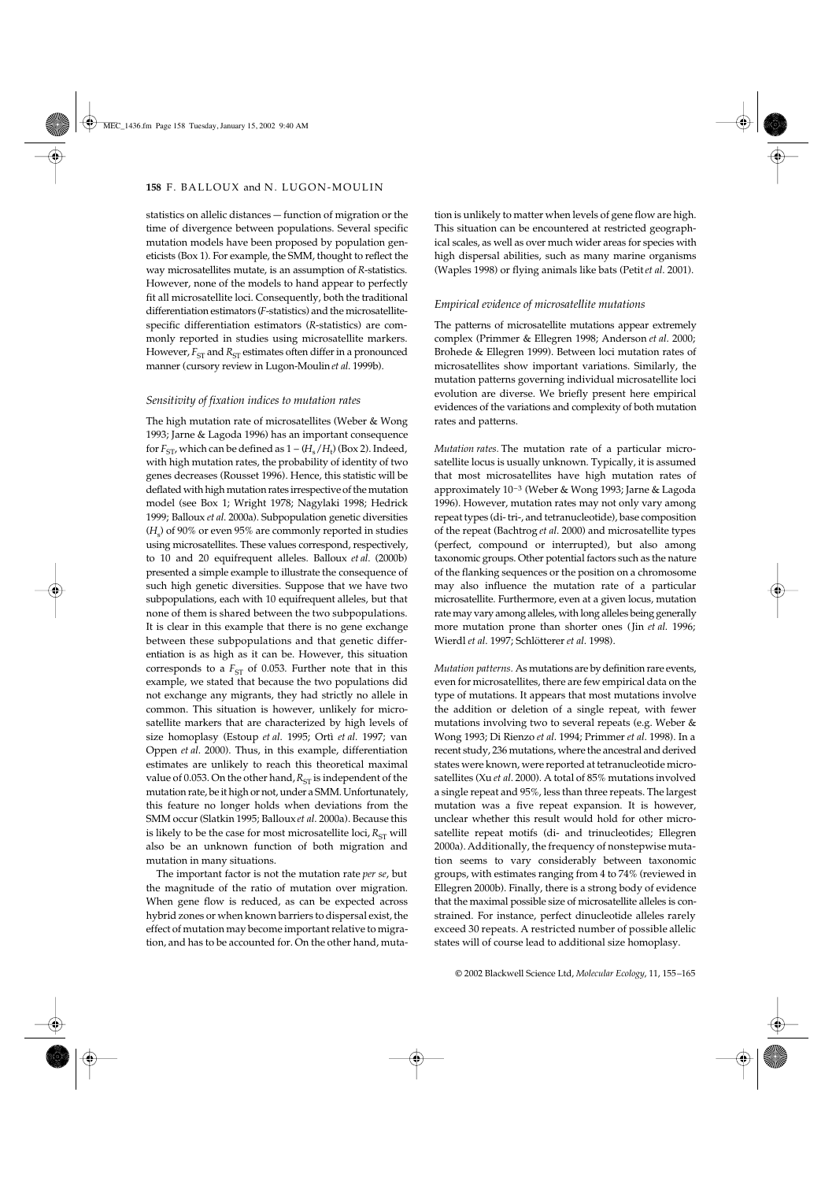statistics on allelic distances — function of migration or the time of divergence between populations. Several specific mutation models have been proposed by population geneticists (Box 1). For example, the SMM, thought to reflect the way microsatellites mutate, is an assumption of *R*-statistics. However, none of the models to hand appear to perfectly fit all microsatellite loci. Consequently, both the traditional differentiation estimators (*F*-statistics) and the microsatellitespecific differentiation estimators (*R*-statistics) are commonly reported in studies using microsatellite markers. However,  $F_{ST}$  and  $R_{ST}$  estimates often differ in a pronounced manner (cursory review in Lugon-Moulin *et al*. 1999b).

### *Sensitivity of fixation indices to mutation rates*

The high mutation rate of microsatellites (Weber & Wong 1993; Jarne & Lagoda 1996) has an important consequence for  $F_{\textrm{ST'}}$  which can be defined as  $1-(H_{\textrm{s}}/H_{\textrm{t}})$  (Box 2). Indeed, with high mutation rates, the probability of identity of two genes decreases (Rousset 1996). Hence, this statistic will be deflated with high mutation rates irrespective of the mutation model (see Box 1; Wright 1978; Nagylaki 1998; Hedrick 1999; Balloux *et al*. 2000a). Subpopulation genetic diversities (*H*<sup>s</sup> ) of 90% or even 95% are commonly reported in studies using microsatellites. These values correspond, respectively, to 10 and 20 equifrequent alleles. Balloux *et al*. (2000b) presented a simple example to illustrate the consequence of such high genetic diversities. Suppose that we have two subpopulations, each with 10 equifrequent alleles, but that none of them is shared between the two subpopulations. It is clear in this example that there is no gene exchange between these subpopulations and that genetic differentiation is as high as it can be. However, this situation corresponds to a  $F_{ST}$  of 0.053. Further note that in this example, we stated that because the two populations did not exchange any migrants, they had strictly no allele in common. This situation is however, unlikely for microsatellite markers that are characterized by high levels of size homoplasy (Estoup *et al*. 1995; Ortì *et al*. 1997; van Oppen *et al*. 2000). Thus, in this example, differentiation estimates are unlikely to reach this theoretical maximal value of 0.053. On the other hand,  $R_{ST}$  is independent of the mutation rate, be it high or not, under a SMM. Unfortunately, this feature no longer holds when deviations from the SMM occur (Slatkin 1995; Balloux *et al*. 2000a). Because this is likely to be the case for most microsatellite loci,  $R_{ST}$  will also be an unknown function of both migration and mutation in many situations.

The important factor is not the mutation rate *per se*, but the magnitude of the ratio of mutation over migration. When gene flow is reduced, as can be expected across hybrid zones or when known barriers to dispersal exist, the effect of mutation may become important relative to migration, and has to be accounted for. On the other hand, muta-

tion is unlikely to matter when levels of gene flow are high. This situation can be encountered at restricted geographical scales, as well as over much wider areas for species with high dispersal abilities, such as many marine organisms (Waples 1998) or flying animals like bats (Petit *et al*. 2001).

### *Empirical evidence of microsatellite mutations*

The patterns of microsatellite mutations appear extremely complex (Primmer & Ellegren 1998; Anderson *et al*. 2000; Brohede & Ellegren 1999). Between loci mutation rates of microsatellites show important variations. Similarly, the mutation patterns governing individual microsatellite loci evolution are diverse. We briefly present here empirical evidences of the variations and complexity of both mutation rates and patterns.

*Mutation rates.* The mutation rate of a particular microsatellite locus is usually unknown. Typically, it is assumed that most microsatellites have high mutation rates of approximately 10–3 (Weber & Wong 1993; Jarne & Lagoda 1996). However, mutation rates may not only vary among repeat types (di- tri-, and tetranucleotide), base composition of the repeat (Bachtrog *et al*. 2000) and microsatellite types (perfect, compound or interrupted), but also among taxonomic groups. Other potential factors such as the nature of the flanking sequences or the position on a chromosome may also influence the mutation rate of a particular microsatellite. Furthermore, even at a given locus, mutation rate may vary among alleles, with long alleles being generally more mutation prone than shorter ones (Jin *et al*. 1996; Wierdl *et al*. 1997; Schlötterer *et al*. 1998).

*Mutation patterns.* As mutations are by definition rare events, even for microsatellites, there are few empirical data on the type of mutations. It appears that most mutations involve the addition or deletion of a single repeat, with fewer mutations involving two to several repeats (e.g. Weber & Wong 1993; Di Rienzo *et al*. 1994; Primmer *et al*. 1998). In a recent study, 236 mutations, where the ancestral and derived states were known, were reported at tetranucleotide microsatellites (Xu *et al*. 2000). A total of 85% mutations involved a single repeat and 95%, less than three repeats. The largest mutation was a five repeat expansion. It is however, unclear whether this result would hold for other microsatellite repeat motifs (di- and trinucleotides; Ellegren 2000a). Additionally, the frequency of nonstepwise mutation seems to vary considerably between taxonomic groups, with estimates ranging from 4 to 74% (reviewed in Ellegren 2000b). Finally, there is a strong body of evidence that the maximal possible size of microsatellite alleles is constrained. For instance, perfect dinucleotide alleles rarely exceed 30 repeats. A restricted number of possible allelic states will of course lead to additional size homoplasy.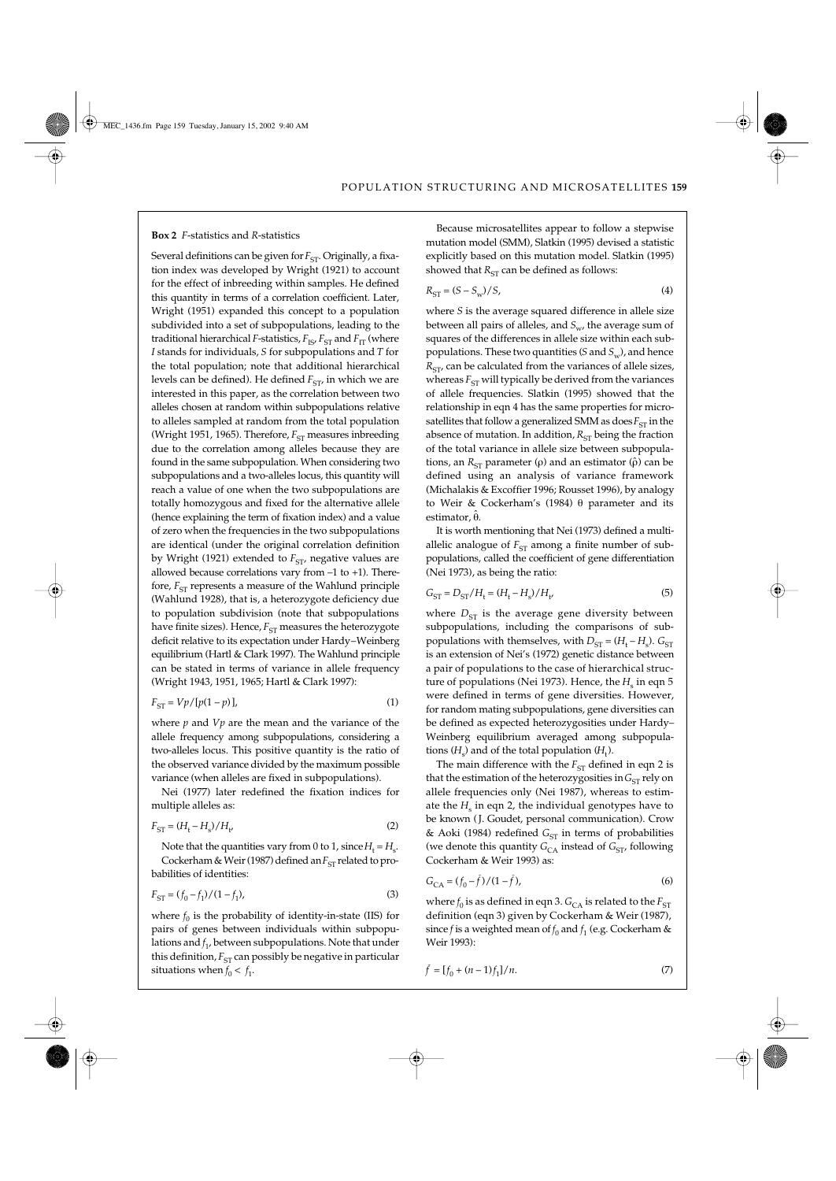#### **Box 2** *F*-statistics and *R*-statistics

Several definitions can be given for *F<sub>ST</sub>*. Originally, a fixation index was developed by Wright (1921) to account for the effect of inbreeding within samples. He defined this quantity in terms of a correlation coefficient. Later, Wright (1951) expanded this concept to a population subdivided into a set of subpopulations, leading to the traditional hierarchical *F*-statistics,  $F_{IS}$ ,  $F_{ST}$  and  $F_{IT}$  (where *I* stands for individuals, *S* for subpopulations and *T* for the total population; note that additional hierarchical levels can be defined). He defined *F<sub>ST</sub>*, in which we are interested in this paper, as the correlation between two alleles chosen at random within subpopulations relative to alleles sampled at random from the total population (Wright 1951, 1965). Therefore,  $F_{ST}$  measures inbreeding due to the correlation among alleles because they are found in the same subpopulation. When considering two subpopulations and a two-alleles locus, this quantity will reach a value of one when the two subpopulations are totally homozygous and fixed for the alternative allele (hence explaining the term of fixation index) and a value of zero when the frequencies in the two subpopulations are identical (under the original correlation definition by Wright (1921) extended to *F<sub>ST</sub>*, negative values are allowed because correlations vary from –1 to +1). Therefore,  $F_{ST}$  represents a measure of the Wahlund principle (Wahlund 1928), that is, a heterozygote deficiency due to population subdivision (note that subpopulations have finite sizes). Hence, *F*<sub>ST</sub> measures the heterozygote deficit relative to its expectation under Hardy–Weinberg equilibrium (Hartl & Clark 1997). The Wahlund principle can be stated in terms of variance in allele frequency (Wright 1943, 1951, 1965; Hartl & Clark 1997):

$$
F_{ST} = Vp/[p(1-p)],\tag{1}
$$

where *p* and *Vp* are the mean and the variance of the allele frequency among subpopulations, considering a two-alleles locus. This positive quantity is the ratio of the observed variance divided by the maximum possible variance (when alleles are fixed in subpopulations).

Nei (1977) later redefined the fixation indices for multiple alleles as:

$$
F_{\rm ST} = (H_{\rm t} - H_{\rm s}) / H_{\rm t'} \tag{2}
$$

Note that the quantities vary from 0 to 1, since  $H_{\text{t}} = H_{\text{s}}$ .

Cockerham & Weir (1987) defined an  $F_{ST}$  related to probabilities of identities:

$$
F_{ST} = (f_0 - f_1)/(1 - f_1),\tag{3}
$$

situations when  $f_0 < f_1$ . where  $f_0$  is the probability of identity-in-state (IIS) for pairs of genes between individuals within subpopulations and *f* 1, between subpopulations. Note that under this definition,  $F_{ST}$  can possibly be negative in particular

Because microsatellites appear to follow a stepwise mutation model (SMM), Slatkin (1995) devised a statistic explicitly based on this mutation model. Slatkin (1995) showed that  $R_{ST}$  can be defined as follows:

$$
R_{\rm ST} = (S - S_w) / S,\tag{4}
$$

where *S* is the average squared difference in allele size between all pairs of alleles, and *S<sub>w</sub>*, the average sum of squares of the differences in allele size within each subpopulations. These two quantities (*S* and  $S_w$ ), and hence  $R_{ST}$ , can be calculated from the variances of allele sizes, whereas  $F_{ST}$  will typically be derived from the variances of allele frequencies. Slatkin (1995) showed that the relationship in eqn 4 has the same properties for microsatellites that follow a generalized SMM as  $\cos F_{ST}$  in the absence of mutation. In addition,  $R_{ST}$  being the fraction of the total variance in allele size between subpopulations, an  $R<sub>ST</sub>$  parameter (ρ) and an estimator ( $\hat{\rho}$ ) can be defined using an analysis of variance framework (Michalakis & Excoffier 1996; Rousset 1996), by analogy to Weir & Cockerham's (1984) θ parameter and its estimator, θ̂.

It is worth mentioning that Nei (1973) defined a multiallelic analogue of  $F_{ST}$  among a finite number of subpopulations, called the coefficient of gene differentiation (Nei 1973), as being the ratio:

$$
G_{\rm ST} = D_{\rm ST}/H_{\rm t} = (H_{\rm t} - H_{\rm s})/H_{\nu} \tag{5}
$$

where  $D_{ST}$  is the average gene diversity between subpopulations, including the comparisons of subpopulations with themselves, with  $D_{ST} = (H_t - H_s)$ .  $G_{ST}$ is an extension of Nei's (1972) genetic distance between a pair of populations to the case of hierarchical structure of populations (Nei 1973). Hence, the  $H<sub>s</sub>$  in eqn 5 were defined in terms of gene diversities. However, for random mating subpopulations, gene diversities can be defined as expected heterozygosities under Hardy– Weinberg equilibrium averaged among subpopulations  $(H<sub>s</sub>)$  and of the total population  $(H<sub>t</sub>)$ .

The main difference with the  $F_{ST}$  defined in eqn 2 is that the estimation of the heterozygosities in  $G_{ST}$  rely on allele frequencies only (Nei 1987), whereas to estimate the  $H<sub>s</sub>$  in eqn 2, the individual genotypes have to be known (J. Goudet, personal communication). Crow & Aoki (1984) redefined  $G_{ST}$  in terms of probabilities (we denote this quantity  $G_{CA}$  instead of  $G_{ST}$ , following Cockerham & Weir 1993) as:

$$
G_{\text{CA}} = (f_0 - \bar{f})/(1 - \bar{f}),\tag{6}
$$

where  $f_0$  is as defined in eqn 3.  $G_{\rm CA}$  is related to the  $F_{\rm ST}$ definition (eqn 3) given by Cockerham & Weir (1987), since *f* is a weighted mean of  $f_0$  and  $f_1$  (e.g. Cockerham & Weir 1993):

$$
\bar{f} = [f_0 + (n-1)f_1]/n.
$$
 (7)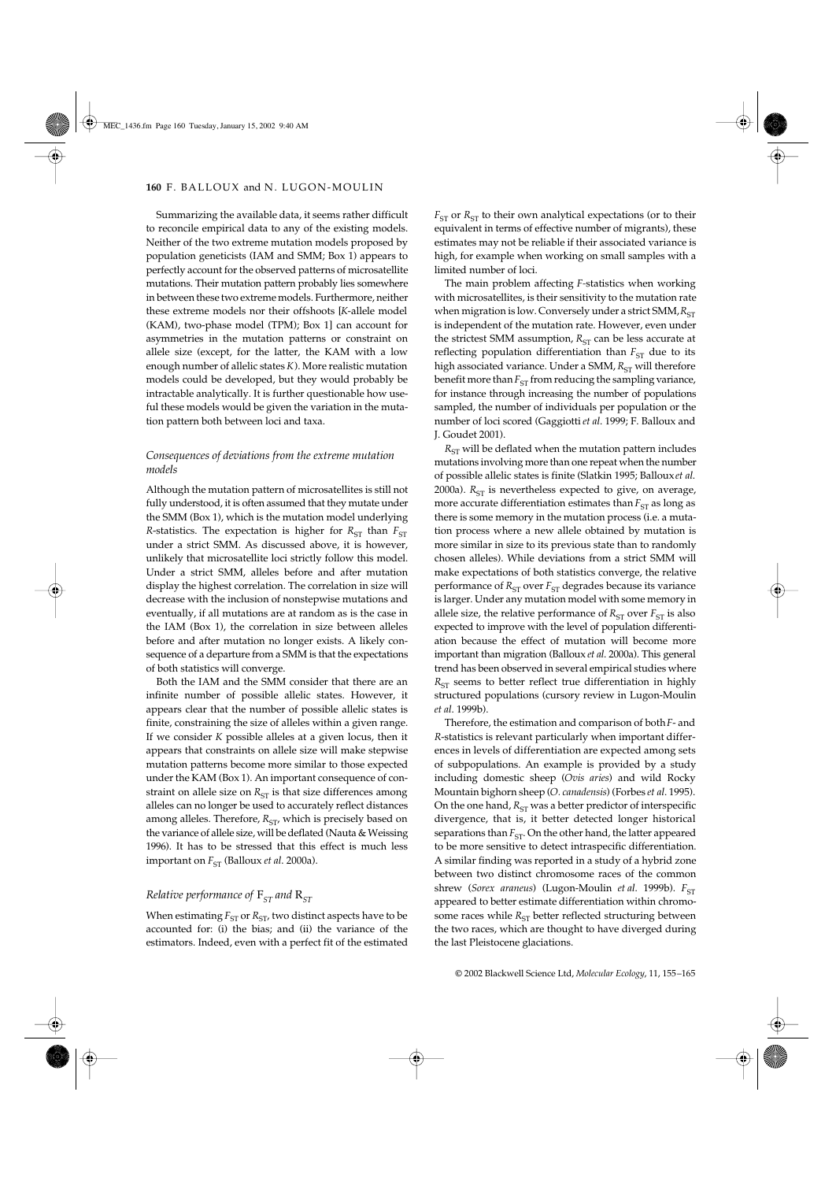Summarizing the available data, it seems rather difficult to reconcile empirical data to any of the existing models. Neither of the two extreme mutation models proposed by population geneticists (IAM and SMM; Box 1) appears to perfectly account for the observed patterns of microsatellite mutations. Their mutation pattern probably lies somewhere in between these two extreme models. Furthermore, neither these extreme models nor their offshoots [*K*-allele model (KAM), two-phase model (TPM); Box 1] can account for asymmetries in the mutation patterns or constraint on allele size (except, for the latter, the KAM with a low enough number of allelic states *K*). More realistic mutation models could be developed, but they would probably be intractable analytically. It is further questionable how useful these models would be given the variation in the mutation pattern both between loci and taxa.

# *Consequences of deviations from the extreme mutation models*

Although the mutation pattern of microsatellites is still not fully understood, it is often assumed that they mutate under the SMM (Box 1), which is the mutation model underlying *R*-statistics. The expectation is higher for  $R_{ST}$  than  $F_{ST}$ under a strict SMM. As discussed above, it is however, unlikely that microsatellite loci strictly follow this model. Under a strict SMM, alleles before and after mutation display the highest correlation. The correlation in size will decrease with the inclusion of nonstepwise mutations and eventually, if all mutations are at random as is the case in the IAM (Box 1), the correlation in size between alleles before and after mutation no longer exists. A likely consequence of a departure from a SMM is that the expectations of both statistics will converge.

Both the IAM and the SMM consider that there are an infinite number of possible allelic states. However, it appears clear that the number of possible allelic states is finite, constraining the size of alleles within a given range. If we consider *K* possible alleles at a given locus, then it appears that constraints on allele size will make stepwise mutation patterns become more similar to those expected under the KAM (Box 1). An important consequence of constraint on allele size on  $R_{ST}$  is that size differences among alleles can no longer be used to accurately reflect distances among alleles. Therefore,  $R_{ST}$ , which is precisely based on the variance of allele size, will be deflated (Nauta & Weissing 1996). It has to be stressed that this effect is much less important on  $F_{ST}$  (Balloux *et al.* 2000a).

## *Relative performance of*  $F_{ST}$  and  $R_{ST}$

When estimating  $F_{ST}$  or  $R_{ST}$ , two distinct aspects have to be accounted for: (i) the bias; and (ii) the variance of the estimators. Indeed, even with a perfect fit of the estimated  $F_{ST}$  or  $R_{ST}$  to their own analytical expectations (or to their equivalent in terms of effective number of migrants), these estimates may not be reliable if their associated variance is high, for example when working on small samples with a limited number of loci.

The main problem affecting *F-*statistics when working with microsatellites, is their sensitivity to the mutation rate when migration is low. Conversely under a strict SMM,  $R_{ST}$ is independent of the mutation rate. However, even under the strictest SMM assumption,  $R_{\rm ST}$  can be less accurate at reflecting population differentiation than  $F_{ST}$  due to its high associated variance. Under a SMM,  $R_{ST}$  will therefore benefit more than  $F_{ST}$  from reducing the sampling variance, for instance through increasing the number of populations sampled, the number of individuals per population or the number of loci scored (Gaggiotti *et al*. 1999; F. Balloux and J. Goudet 2001).

 $R_{ST}$  will be deflated when the mutation pattern includes mutations involving more than one repeat when the number of possible allelic states is finite (Slatkin 1995; Balloux *et al*. 2000a).  $R_{ST}$  is nevertheless expected to give, on average, more accurate differentiation estimates than  $F_{ST}$  as long as there is some memory in the mutation process (i.e. a mutation process where a new allele obtained by mutation is more similar in size to its previous state than to randomly chosen alleles). While deviations from a strict SMM will make expectations of both statistics converge, the relative performance of  $R_{ST}$  over  $F_{ST}$  degrades because its variance is larger. Under any mutation model with some memory in allele size, the relative performance of  $R_{ST}$  over  $F_{ST}$  is also expected to improve with the level of population differentiation because the effect of mutation will become more important than migration (Balloux *et al*. 2000a). This general trend has been observed in several empirical studies where  $R<sub>ST</sub>$  seems to better reflect true differentiation in highly structured populations (cursory review in Lugon-Moulin *et al*. 1999b).

Therefore, the estimation and comparison of both *F*- and *R*-statistics is relevant particularly when important differences in levels of differentiation are expected among sets of subpopulations. An example is provided by a study including domestic sheep (*Ovis aries*) and wild Rocky Mountain bighorn sheep (*O. canadensis*) (Forbes *et al*. 1995). On the one hand,  $R_{ST}$  was a better predictor of interspecific divergence, that is, it better detected longer historical separations than  $F_{ST}$ . On the other hand, the latter appeared to be more sensitive to detect intraspecific differentiation. A similar finding was reported in a study of a hybrid zone between two distinct chromosome races of the common shrew (*Sorex araneus*) (Lugon-Moulin *et al.* 1999b).  $F_{ST}$ appeared to better estimate differentiation within chromosome races while  $R_{ST}$  better reflected structuring between the two races, which are thought to have diverged during the last Pleistocene glaciations.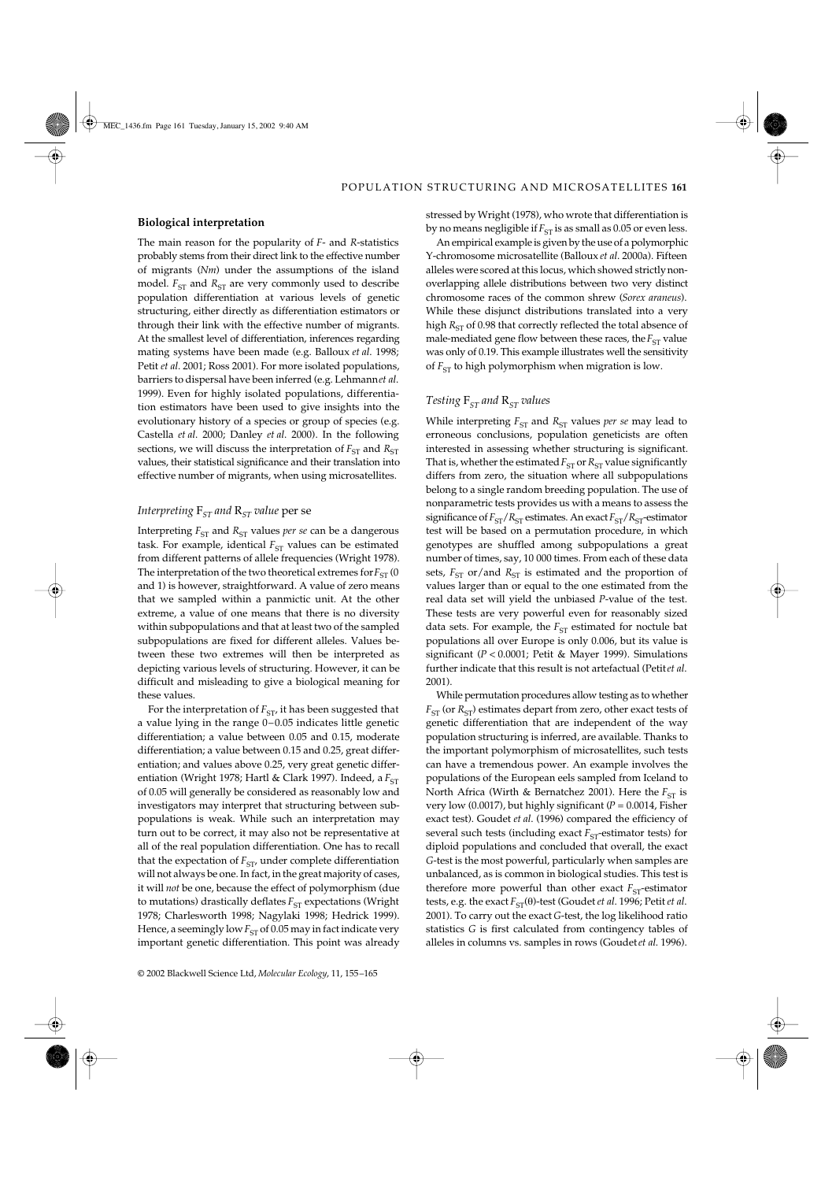### **Biological interpretation**

The main reason for the popularity of *F*- and *R*-statistics probably stems from their direct link to the effective number of migrants (*Nm*) under the assumptions of the island model.  $F_{ST}$  and  $R_{ST}$  are very commonly used to describe population differentiation at various levels of genetic structuring, either directly as differentiation estimators or through their link with the effective number of migrants. At the smallest level of differentiation, inferences regarding mating systems have been made (e.g. Balloux *et al*. 1998; Petit *et al*. 2001; Ross 2001). For more isolated populations, barriers to dispersal have been inferred (e.g. Lehmann *et al*. 1999). Even for highly isolated populations, differentiation estimators have been used to give insights into the evolutionary history of a species or group of species (e.g. Castella *et al*. 2000; Danley *et al*. 2000). In the following sections, we will discuss the interpretation of  $F_{ST}$  and  $R_{ST}$ values, their statistical significance and their translation into effective number of migrants, when using microsatellites.

## *Interpreting*  $F_{ST}$  and  $R_{ST}$  value per se

Interpreting  $F_{ST}$  and  $R_{ST}$  values *per se* can be a dangerous task. For example, identical  $F_{ST}$  values can be estimated from different patterns of allele frequencies (Wright 1978). The interpretation of the two theoretical extremes for  $F_{ST}$  (0 and 1) is however, straightforward. A value of zero means that we sampled within a panmictic unit. At the other extreme, a value of one means that there is no diversity within subpopulations and that at least two of the sampled subpopulations are fixed for different alleles. Values between these two extremes will then be interpreted as depicting various levels of structuring. However, it can be difficult and misleading to give a biological meaning for these values.

For the interpretation of  $F_{ST}$ , it has been suggested that a value lying in the range 0–0.05 indicates little genetic differentiation; a value between 0.05 and 0.15, moderate differentiation; a value between 0.15 and 0.25, great differentiation; and values above 0.25, very great genetic differentiation (Wright 1978; Hartl & Clark 1997). Indeed, a  $F_{ST}$ of 0.05 will generally be considered as reasonably low and investigators may interpret that structuring between subpopulations is weak. While such an interpretation may turn out to be correct, it may also not be representative at all of the real population differentiation. One has to recall that the expectation of  $F_{ST}$ , under complete differentiation will not always be one. In fact, in the great majority of cases, it will *not* be one, because the effect of polymorphism (due to mutations) drastically deflates *F*<sub>ST</sub> expectations (Wright 1978; Charlesworth 1998; Nagylaki 1998; Hedrick 1999). Hence, a seemingly low  $F_{ST}$  of 0.05 may in fact indicate very important genetic differentiation. This point was already

stressed by Wright (1978), who wrote that differentiation is by no means negligible if  $F_{ST}$  is as small as 0.05 or even less.

An empirical example is given by the use of a polymorphic Y-chromosome microsatellite (Balloux *et al*. 2000a). Fifteen alleles were scored at this locus, which showed strictly nonoverlapping allele distributions between two very distinct chromosome races of the common shrew (*Sorex araneus*). While these disjunct distributions translated into a very high *R*<sub>ST</sub> of 0.98 that correctly reflected the total absence of male-mediated gene flow between these races, the  $F_{ST}$  value was only of 0.19. This example illustrates well the sensitivity of  $F_{ST}$  to high polymorphism when migration is low.

# *Testing* F*ST and* R*ST values*

While interpreting  $F_{ST}$  and  $R_{ST}$  values *per se* may lead to erroneous conclusions, population geneticists are often interested in assessing whether structuring is significant. That is, whether the estimated  $F_{ST}$  or  $R_{ST}$  value significantly differs from zero, the situation where all subpopulations belong to a single random breeding population. The use of nonparametric tests provides us with a means to assess the significance of  $F_{ST}/R_{ST}$  estimates. An exact  $F_{ST}/R_{ST}$ -estimator test will be based on a permutation procedure, in which genotypes are shuffled among subpopulations a great number of times, say, 10 000 times. From each of these data sets,  $F_{ST}$  or/and  $R_{ST}$  is estimated and the proportion of values larger than or equal to the one estimated from the real data set will yield the unbiased *P*-value of the test. These tests are very powerful even for reasonably sized data sets. For example, the *F*<sub>ST</sub> estimated for noctule bat populations all over Europe is only 0.006, but its value is significant (*P* < 0.0001; Petit & Mayer 1999). Simulations further indicate that this result is not artefactual (Petitet al. 2001).

While permutation procedures allow testing as to whether  $F_{ST}$  (or  $R_{ST}$ ) estimates depart from zero, other exact tests of genetic differentiation that are independent of the way population structuring is inferred, are available. Thanks to the important polymorphism of microsatellites, such tests can have a tremendous power. An example involves the populations of the European eels sampled from Iceland to North Africa (Wirth & Bernatchez 2001). Here the *F*<sub>ST</sub> is very low (0.0017), but highly significant (*P* = 0.0014, Fisher exact test). Goudet *et al*. (1996) compared the efficiency of several such tests (including exact  $F_{ST}$ -estimator tests) for diploid populations and concluded that overall, the exact *G*-test is the most powerful, particularly when samples are unbalanced, as is common in biological studies. This test is therefore more powerful than other exact  $F_{ST}$ -estimator tests, e.g. the exact  $F_{ST}(\theta)$ -test (Goudet *et al.* 1996; Petit *et al.* 2001). To carry out the exact *G*-test, the log likelihood ratio statistics *G* is first calculated from contingency tables of alleles in columns vs. samples in rows (Goudet *et al*. 1996).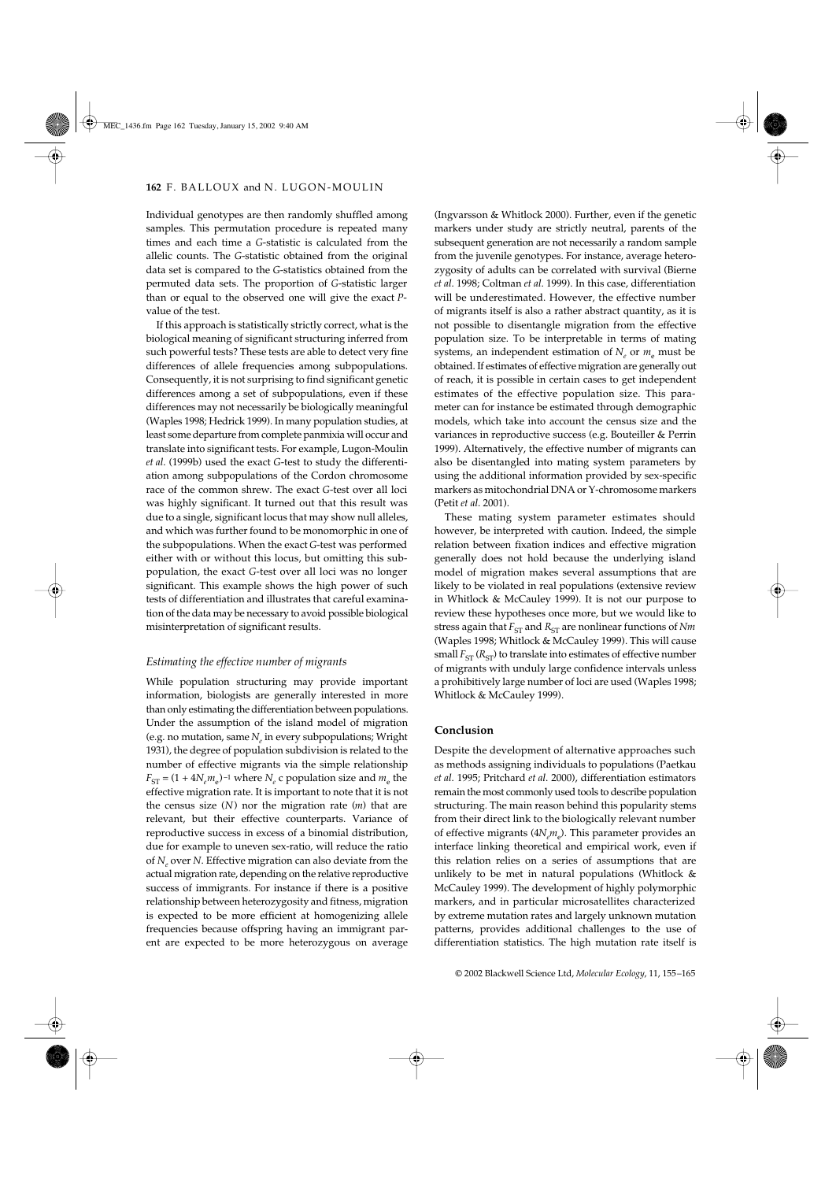Individual genotypes are then randomly shuffled among samples. This permutation procedure is repeated many times and each time a *G*-statistic is calculated from the allelic counts. The *G*-statistic obtained from the original data set is compared to the *G*-statistics obtained from the permuted data sets. The proportion of *G*-statistic larger than or equal to the observed one will give the exact *P*value of the test.

If this approach is statistically strictly correct, what is the biological meaning of significant structuring inferred from such powerful tests? These tests are able to detect very fine differences of allele frequencies among subpopulations. Consequently, it is not surprising to find significant genetic differences among a set of subpopulations, even if these differences may not necessarily be biologically meaningful (Waples 1998; Hedrick 1999). In many population studies, at least some departure from complete panmixia will occur and translate into significant tests. For example, Lugon-Moulin *et al*. (1999b) used the exact *G*-test to study the differentiation among subpopulations of the Cordon chromosome race of the common shrew. The exact *G*-test over all loci was highly significant. It turned out that this result was due to a single, significant locus that may show null alleles, and which was further found to be monomorphic in one of the subpopulations. When the exact *G*-test was performed either with or without this locus, but omitting this subpopulation, the exact *G*-test over all loci was no longer significant. This example shows the high power of such tests of differentiation and illustrates that careful examination of the data may be necessary to avoid possible biological misinterpretation of significant results.

### *Estimating the effective number of migrants*

While population structuring may provide important information, biologists are generally interested in more than only estimating the differentiation between populations. Under the assumption of the island model of migration (e.g. no mutation, same  $N_e$  in every subpopulations; Wright 1931), the degree of population subdivision is related to the number of effective migrants via the simple relationship  $F_{ST} = (1 + 4N_e m_e)^{-1}$  where  $N_e$  c population size and  $m_e$  the effective migration rate. It is important to note that it is not the census size (*N*) nor the migration rate (*m*) that are relevant, but their effective counterparts. Variance of reproductive success in excess of a binomial distribution, due for example to uneven sex-ratio, will reduce the ratio of *Ne* over *N*. Effective migration can also deviate from the actual migration rate, depending on the relative reproductive success of immigrants. For instance if there is a positive relationship between heterozygosity and fitness, migration is expected to be more efficient at homogenizing allele frequencies because offspring having an immigrant parent are expected to be more heterozygous on average

(Ingvarsson & Whitlock 2000). Further, even if the genetic markers under study are strictly neutral, parents of the subsequent generation are not necessarily a random sample from the juvenile genotypes. For instance, average heterozygosity of adults can be correlated with survival (Bierne *et al*. 1998; Coltman *et al*. 1999). In this case, differentiation will be underestimated. However, the effective number of migrants itself is also a rather abstract quantity, as it is not possible to disentangle migration from the effective population size. To be interpretable in terms of mating systems, an independent estimation of  $N_e$  or  $m_e$  must be obtained. If estimates of effective migration are generally out of reach, it is possible in certain cases to get independent estimates of the effective population size. This parameter can for instance be estimated through demographic models, which take into account the census size and the variances in reproductive success (e.g. Bouteiller & Perrin 1999). Alternatively, the effective number of migrants can also be disentangled into mating system parameters by using the additional information provided by sex-specific markers as mitochondrial DNA or Y-chromosome markers (Petit *et al*. 2001).

These mating system parameter estimates should however, be interpreted with caution. Indeed, the simple relation between fixation indices and effective migration generally does not hold because the underlying island model of migration makes several assumptions that are likely to be violated in real populations (extensive review in Whitlock & McCauley 1999). It is not our purpose to review these hypotheses once more, but we would like to stress again that  $F_{ST}$  and  $R_{ST}$  are nonlinear functions of  $Nm$ (Waples 1998; Whitlock & McCauley 1999). This will cause small  $F_{ST}$  ( $R_{ST}$ ) to translate into estimates of effective number of migrants with unduly large confidence intervals unless a prohibitively large number of loci are used (Waples 1998; Whitlock & McCauley 1999).

### **Conclusion**

Despite the development of alternative approaches such as methods assigning individuals to populations (Paetkau *et al*. 1995; Pritchard *et al*. 2000), differentiation estimators remain the most commonly used tools to describe population structuring. The main reason behind this popularity stems from their direct link to the biologically relevant number of effective migrants (4 $N_{\scriptscriptstyle \ell}$ m<sub>e</sub>). This parameter provides an interface linking theoretical and empirical work, even if this relation relies on a series of assumptions that are unlikely to be met in natural populations (Whitlock  $\&$ McCauley 1999). The development of highly polymorphic markers, and in particular microsatellites characterized by extreme mutation rates and largely unknown mutation patterns, provides additional challenges to the use of differentiation statistics. The high mutation rate itself is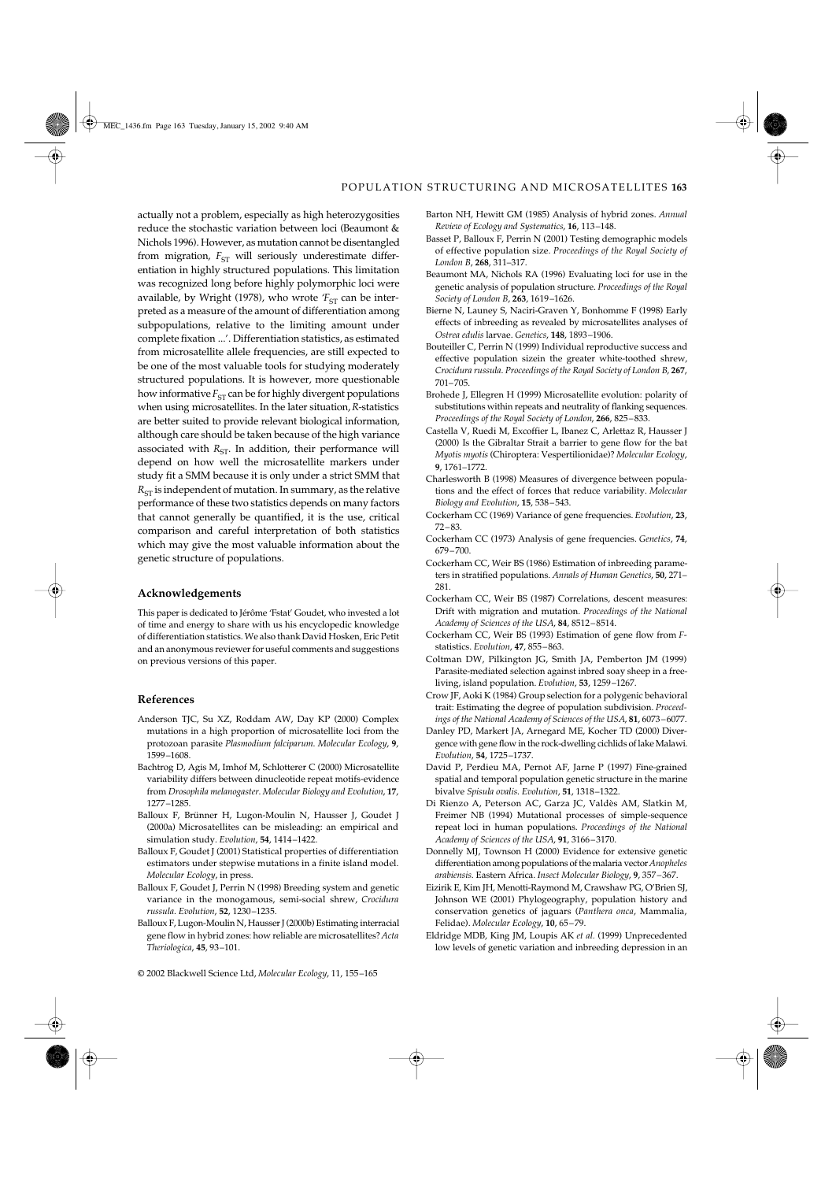actually not a problem, especially as high heterozygosities reduce the stochastic variation between loci (Beaumont & Nichols 1996). However, as mutation cannot be disentangled from migration,  $F_{ST}$  will seriously underestimate differentiation in highly structured populations. This limitation was recognized long before highly polymorphic loci were available, by Wright (1978), who wrote  $T<sub>ST</sub>$  can be interpreted as a measure of the amount of differentiation among subpopulations, relative to the limiting amount under complete fixation ...'. Differentiation statistics, as estimated from microsatellite allele frequencies, are still expected to be one of the most valuable tools for studying moderately structured populations. It is however, more questionable how informative  $F_{ST}$  can be for highly divergent populations when using microsatellites. In the later situation, *R*-statistics are better suited to provide relevant biological information, although care should be taken because of the high variance associated with  $R_{ST}$ . In addition, their performance will depend on how well the microsatellite markers under study fit a SMM because it is only under a strict SMM that  $R_{ST}$  is independent of mutation. In summary, as the relative performance of these two statistics depends on many factors that cannot generally be quantified, it is the use, critical comparison and careful interpretation of both statistics which may give the most valuable information about the genetic structure of populations.

### **Acknowledgements**

This paper is dedicated to Jérôme 'Fstat' Goudet, who invested a lot of time and energy to share with us his encyclopedic knowledge of differentiation statistics. We also thank David Hosken, Eric Petit and an anonymous reviewer for useful comments and suggestions on previous versions of this paper.

### **References**

- Anderson TJC, Su XZ, Roddam AW, Day KP (2000) Complex mutations in a high proportion of microsatellite loci from the protozoan parasite *Plasmodium falciparum*. *Molecular Ecology*, **9**, 1599–1608.
- Bachtrog D, Agis M, Imhof M, Schlotterer C (2000) Microsatellite variability differs between dinucleotide repeat motifs-evidence from *Drosophila melanogaster*. *Molecular Biology and Evolution*, **17**, 1277–1285.
- Balloux F, Brünner H, Lugon-Moulin N, Hausser J, Goudet J (2000a) Microsatellites can be misleading: an empirical and simulation study. *Evolution*, **54**, 1414–1422.
- Balloux F, Goudet J (2001) Statistical properties of differentiation estimators under stepwise mutations in a finite island model. *Molecular Ecology*, in press.
- Balloux F, Goudet J, Perrin N (1998) Breeding system and genetic variance in the monogamous, semi-social shrew, *Crocidura russula*. *Evolution*, **52**, 1230–1235.
- Balloux F, Lugon-Moulin N, Hausser J (2000b) Estimating interracial gene flow in hybrid zones: how reliable are microsatellites? *Acta Theriologica*, **45**, 93–101.
- © 2002 Blackwell Science Ltd, *Molecular Ecology*, 11, 155–165
- Barton NH, Hewitt GM (1985) Analysis of hybrid zones. *Annual Review of Ecology and Systematics*, **16**, 113–148.
- Basset P, Balloux F, Perrin N (2001) Testing demographic models of effective population size. *Proceedings of the Royal Society of London B*, **268**, 311–317.
- Beaumont MA, Nichols RA (1996) Evaluating loci for use in the genetic analysis of population structure. *Proceedings of the Royal Society of London B*, **263**, 1619–1626.
- Bierne N, Launey S, Naciri-Graven Y, Bonhomme F (1998) Early effects of inbreeding as revealed by microsatellites analyses of *Ostrea edulis* larvae. *Genetics*, **148**, 1893–1906.
- Bouteiller C, Perrin N (1999) Individual reproductive success and effective population sizein the greater white-toothed shrew, *Crocidura russula*. *Proceedings of the Royal Society of London B*, **267**, 701–705.
- Brohede J, Ellegren H (1999) Microsatellite evolution: polarity of substitutions within repeats and neutrality of flanking sequences. *Proceedings of the Royal Society of London*, **266**, 825–833.
- Castella V, Ruedi M, Excoffier L, Ibanez C, Arlettaz R, Hausser J (2000) Is the Gibraltar Strait a barrier to gene flow for the bat *Myotis myotis* (Chiroptera: Vespertilionidae)? *Molecular Ecology*, **9**, 1761–1772.
- Charlesworth B (1998) Measures of divergence between populations and the effect of forces that reduce variability. *Molecular Biology and Evolution*, **15**, 538–543.
- Cockerham CC (1969) Variance of gene frequencies. *Evolution*, **23**, 72–83.
- Cockerham CC (1973) Analysis of gene frequencies. *Genetics*, **74**, 679–700.
- Cockerham CC, Weir BS (1986) Estimation of inbreeding parameters in stratified populations. *Annals of Human Genetics*, **50**, 271– 281.
- Cockerham CC, Weir BS (1987) Correlations, descent measures: Drift with migration and mutation. *Proceedings of the National Academy of Sciences of the USA*, **84**, 8512–8514.
- Cockerham CC, Weir BS (1993) Estimation of gene flow from *F*statistics. *Evolution*, **47**, 855–863.
- Coltman DW, Pilkington JG, Smith JA, Pemberton JM (1999) Parasite-mediated selection against inbred soay sheep in a freeliving, island population. *Evolution*, **53**, 1259–1267.
- Crow JF, Aoki K (1984) Group selection for a polygenic behavioral trait: Estimating the degree of population subdivision. *Proceedings of the National Academy of Sciences of the USA*, **81**, 6073–6077.
- Danley PD, Markert JA, Arnegard ME, Kocher TD (2000) Divergence with gene flow in the rock-dwelling cichlids of lake Malawi. *Evolution*, **54**, 1725–1737.
- David P, Perdieu MA, Pernot AF, Jarne P (1997) Fine-grained spatial and temporal population genetic structure in the marine bivalve *Spisula ovalis*. *Evolution*, **51**, 1318–1322.
- Di Rienzo A, Peterson AC, Garza JC, Valdès AM, Slatkin M, Freimer NB (1994) Mutational processes of simple-sequence repeat loci in human populations. *Proceedings of the National Academy of Sciences of the USA*, **91**, 3166–3170.
- Donnelly MJ, Townson H (2000) Evidence for extensive genetic differentiation among populations of the malaria vector *Anopheles arabiensis*. Eastern Africa. *Insect Molecular Biology*, **9**, 357–367.
- Eizirik E, Kim JH, Menotti-Raymond M, Crawshaw PG, O'Brien SJ, Johnson WE (2001) Phylogeography, population history and conservation genetics of jaguars (*Panthera onca*, Mammalia, Felidae). *Molecular Ecology*, **10**, 65–79.
- Eldridge MDB, King JM, Loupis AK *et al.* (1999) Unprecedented low levels of genetic variation and inbreeding depression in an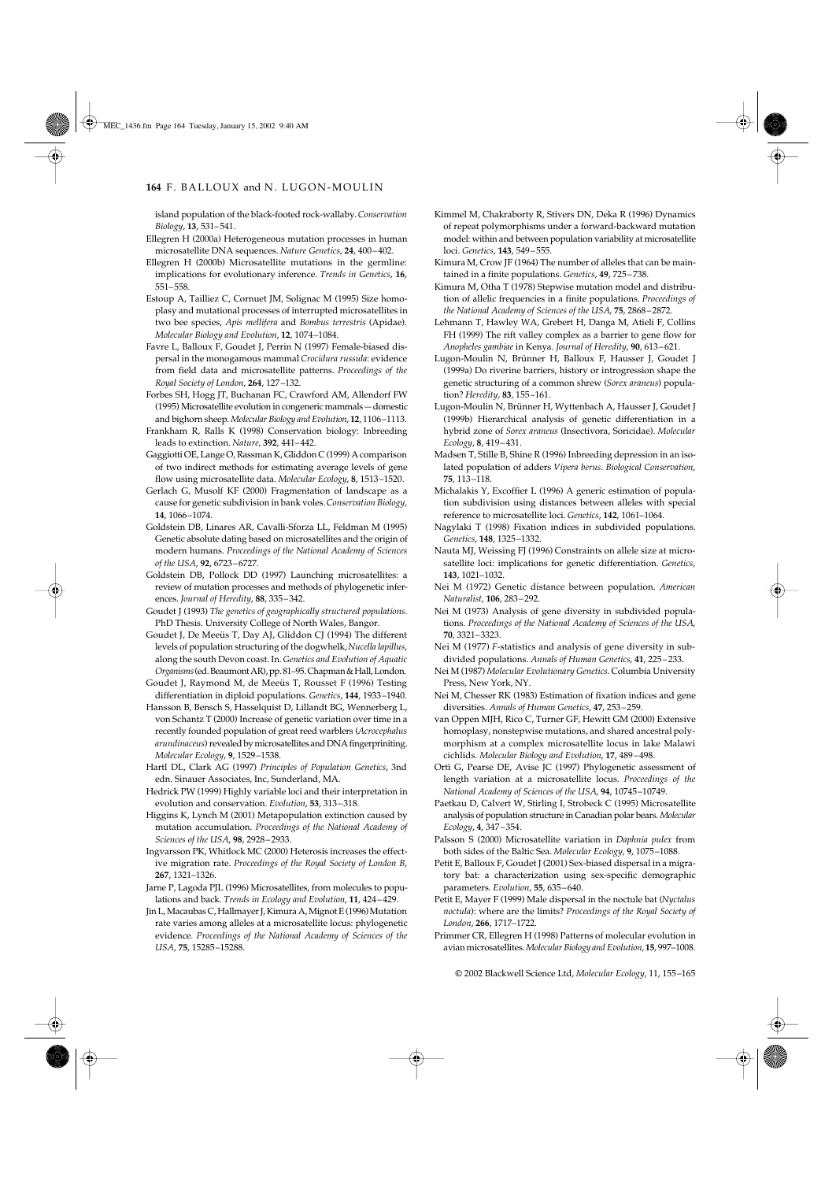### 164 F. BALLOUX and N. LUGON-MOULIN

island population of the black-footed rock-wallaby. *Conservation Biology*, **13**, 531–541.

- Ellegren H (2000a) Heterogeneous mutation processes in human microsatellite DNA sequences. *Nature Genetics*, **24**, 400–402.
- Ellegren H (2000b) Microsatellite mutations in the germline: implications for evolutionary inference. *Trends in Genetics*, **16**, 551–558.
- Estoup A, Tailliez C, Cornuet JM, Solignac M (1995) Size homoplasy and mutational processes of interrupted microsatellites in two bee species, *Apis mellifera* and *Bombus terrestris* (Apidae). *Molecular Biology and Evolution*, **12**, 1074–1084.
- Favre L, Balloux F, Goudet J, Perrin N (1997) Female-biased dispersal in the monogamous mammal *Crocidura russula*: evidence from field data and microsatellite patterns. *Proceedings of the Royal Society of London*, **264**, 127–132.
- Forbes SH, Hogg JT, Buchanan FC, Crawford AM, Allendorf FW (1995) Microsatellite evolution in congeneric mammals — domestic and bighorn sheep. *Molecular Biology and Evolution*, **12**, 1106–1113.
- Frankham R, Ralls K (1998) Conservation biology: Inbreeding leads to extinction. *Nature*, **392**, 441–442.
- Gaggiotti OE, Lange O, Rassman K, Gliddon C (1999) A comparison of two indirect methods for estimating average levels of gene flow using microsatellite data. *Molecular Ecology*, **8**, 1513–1520.
- Gerlach G, Musolf KF (2000) Fragmentation of landscape as a cause for genetic subdivision in bank voles. *Conservation Biology*, **14**, 1066–1074.
- Goldstein DB, Linares AR, Cavalli-Sforza LL, Feldman M (1995) Genetic absolute dating based on microsatellites and the origin of modern humans. *Proceedings of the National Academy of Sciences of the USA*, **92**, 6723–6727.
- Goldstein DB, Pollock DD (1997) Launching microsatellites: a review of mutation processes and methods of phylogenetic inferences. *Journal of Heredity*, **88**, 335–342.
- Goudet J (1993) *The genetics of geographically structured populations.* PhD Thesis. University College of North Wales, Bangor.
- Goudet J, De Meeüs T, Day AJ, Gliddon CJ (1994) The different levels of population structuring of the dogwhelk, *Nucella lapillus*, along the south Devon coast. In. *Genetics and Evolution of Aquatic Organisms* (ed. Beaumont AR), pp. 81–95. Chapman & Hall, London.
- Goudet J, Raymond M, de Meeüs T, Rousset F (1996) Testing differentiation in diploid populations. *Genetics*, **144**, 1933–1940.
- Hansson B, Bensch S, Hasselquist D, Lillandt BG, Wennerberg L, von Schantz T (2000) Increase of genetic variation over time in a recently founded population of great reed warblers (*Acrocephalus arundinaceus*) revealed by microsatellites and DNA fingerpriniting. *Molecular Ecology*, **9**, 1529–1538.
- Hartl DL, Clark AG (1997) *Principles of Population Genetics*, 3nd edn. Sinauer Associates, Inc, Sunderland, MA.
- Hedrick PW (1999) Highly variable loci and their interpretation in evolution and conservation. *Evolution*, **53**, 313–318.
- Higgins K, Lynch M (2001) Metapopulation extinction caused by mutation accumulation. *Proceedings of the National Academy of Sciences of the USA*, **98**, 2928–2933.
- Ingvarsson PK, Whitlock MC (2000) Heterosis increases the effective migration rate. *Proceedings of the Royal Society of London B*, **267**, 1321–1326.
- Jarne P, Lagoda PJL (1996) Microsatellites, from molecules to populations and back. *Trends in Ecology and Evolution*, **11**, 424–429.
- Jin L, Macaubas C, Hallmayer J, Kimura A, Mignot E (1996) Mutation rate varies among alleles at a microsatellite locus: phylogenetic evidence. *Proceedings of the National Academy of Sciences of the USA*, **75**, 15285–15288.
- Kimmel M, Chakraborty R, Stivers DN, Deka R (1996) Dynamics of repeat polymorphisms under a forward-backward mutation model: within and between population variability at microsatellite loci. *Genetics*, **143**, 549–555.
- Kimura M, Crow JF (1964) The number of alleles that can be maintained in a finite populations. *Genetics*, **49**, 725–738.
- Kimura M, Otha T (1978) Stepwise mutation model and distribution of allelic frequencies in a finite populations. *Proceedings of the National Academy of Sciences of the USA*, **75**, 2868–2872.
- Lehmann T, Hawley WA, Grebert H, Danga M, Atieli F, Collins FH (1999) The rift valley complex as a barrier to gene flow for *Anopheles gambiae* in Kenya. *Journal of Heredity*, **90**, 613–621.
- Lugon-Moulin N, Brünner H, Balloux F, Hausser J, Goudet J (1999a) Do riverine barriers, history or introgression shape the genetic structuring of a common shrew (*Sorex araneus*) population? *Heredity*, **83**, 155–161.
- Lugon-Moulin N, Brünner H, Wyttenbach A, Hausser J, Goudet J (1999b) Hierarchical analysis of genetic differentiation in a hybrid zone of *Sorex araneus* (Insectivora, Soricidae). *Molecular Ecology*, **8**, 419–431.
- Madsen T, Stille B, Shine R (1996) Inbreeding depression in an isolated population of adders *Vipera berus*. *Biological Conservation*, **75**, 113–118.
- Michalakis Y, Excoffier L (1996) A generic estimation of population subdivision using distances between alleles with special reference to microsatellite loci. *Genetics*, **142**, 1061–1064.
- Nagylaki T (1998) Fixation indices in subdivided populations. *Genetics*, **148**, 1325–1332.
- Nauta MJ, Weissing FJ (1996) Constraints on allele size at microsatellite loci: implications for genetic differentiation. *Genetics*, **143**, 1021–1032.
- Nei M (1972) Genetic distance between population. *American Naturalist*, **106**, 283–292.
- Nei M (1973) Analysis of gene diversity in subdivided populations. *Proceedings of the National Academy of Sciences of the USA*, **70**, 3321–3323.
- Nei M (1977) *F*-statistics and analysis of gene diversity in subdivided populations. *Annals of Human Genetics*, **41**, 225–233.
- Nei M (1987) *Molecular Evolutionary Genetics*. Columbia University Press, New York, NY.
- Nei M, Chesser RK (1983) Estimation of fixation indices and gene diversities. *Annals of Human Genetics*, **47**, 253–259.
- van Oppen MJH, Rico C, Turner GF, Hewitt GM (2000) Extensive homoplasy, nonstepwise mutations, and shared ancestral polymorphism at a complex microsatellite locus in lake Malawi cichlids. *Molecular Biology and Evolution*, **17**, 489–498.
- Ortì G, Pearse DE, Avise JC (1997) Phylogenetic assessment of length variation at a microsatellite locus. *Proceedings of the National Academy of Sciences of the USA*, **94**, 10745–10749.
- Paetkau D, Calvert W, Stirling I, Strobeck C (1995) Microsatellite analysis of population structure in Canadian polar bears. *Molecular Ecology*, **4**, 347–354.
- Palsson S (2000) Microsatellite variation in *Daphnia pulex* from both sides of the Baltic Sea. *Molecular Ecology*, **9**, 1075–1088.
- Petit E, Balloux F, Goudet J (2001) Sex-biased dispersal in a migratory bat: a characterization using sex-specific demographic parameters. *Evolution*, **55**, 635–640.
- Petit E, Mayer F (1999) Male dispersal in the noctule bat (*Nyctalus noctula*): where are the limits? *Proceedings of the Royal Society of London*, **266**, 1717–1722.
- Primmer CR, Ellegren H (1998) Patterns of molecular evolution in avian microsatellites. *Molecular Biology and Evolution*, **15**, 997–1008.